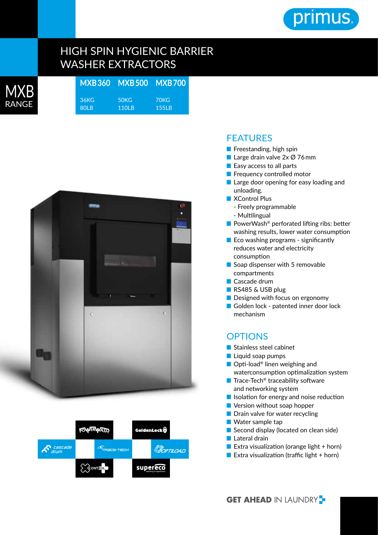

## HIGH SPIN HYGIENIC BARRIER WASHER EXTRACTORS

| <b>MXB</b> | MXB360 MXB500 MXB700 |                   |       |
|------------|----------------------|-------------------|-------|
|            | 36KG                 | 50 <sub>K</sub> G | 70KG  |
| RANGE      | 80 B                 | 110 B             | 155LB |
|            |                      |                   |       |





## **FFATURFS**

- Freestanding, high spin
- Large drain valve 2x Ø 76mm
- Easy access to all parts
- Frequency controlled motor
- Large door opening for easy loading and unloading.
- XControl Plus - Freely programmable
	- Multilingual
- PowerWash<sup>®</sup> perforated lifting ribs: better washing results, lower water consumption
- Eco washing programs significantly reduces water and electricity consumption
- Soap dispenser with 5 removable compartments
- Cascade drum
- RS485 & USB plug
- Designed with focus on ergonomy
- Golden lock patented inner door lock mechanism

## **OPTIONS**

- Stainless steel cabinet
- Liquid soap pumps
- Opti-load<sup>®</sup> linen weighing and waterconsumption optimalization system
- Trace-Tech<sup>®</sup> traceability software and networking system
- Isolation for energy and noise reduction
- Version without soap hopper
- Drain valve for water recycling
- Water sample tap
- Second display (located on clean side)
- Lateral drain
- Extra visualization (orange light  $+$  horn)
- Extra visualization (traffic light  $+$  horn)

**GET AHEAD IN LAUNDRY -**